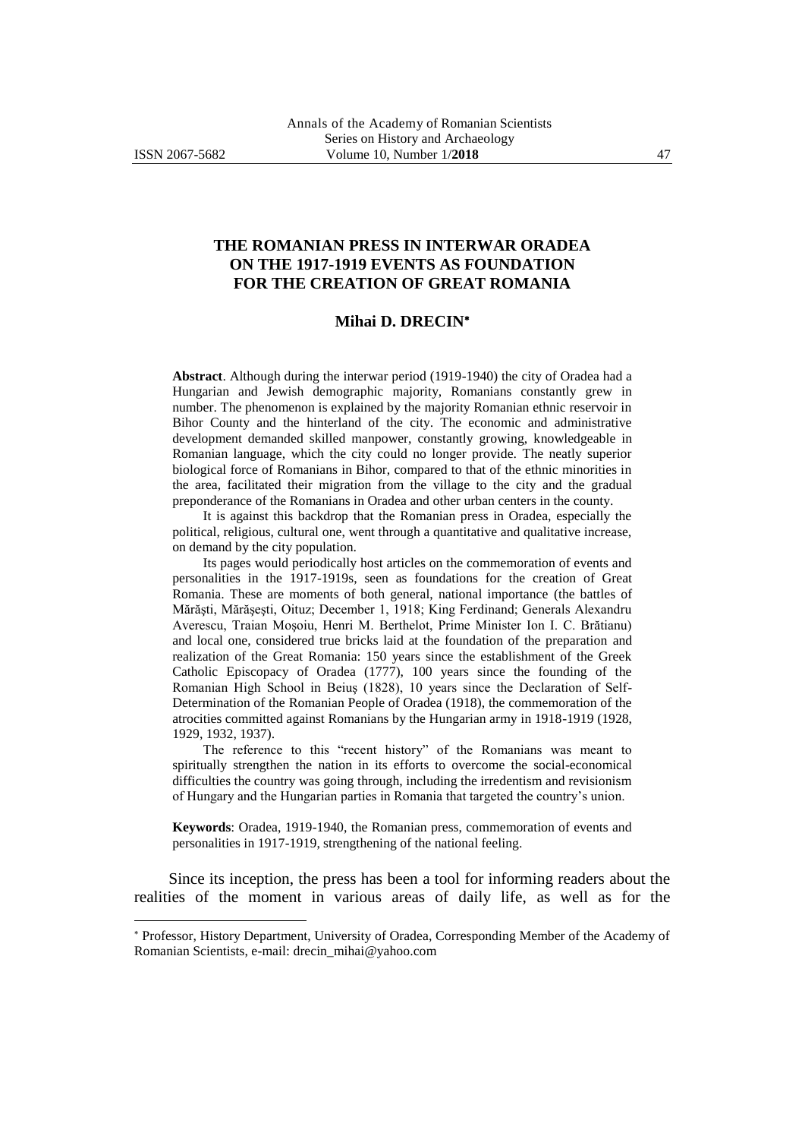-

## **THE ROMANIAN PRESS IN INTERWAR ORADEA ON THE 1917-1919 EVENTS AS FOUNDATION FOR THE CREATION OF GREAT ROMANIA**

## **Mihai D. DRECIN**

**Abstract**. Although during the interwar period (1919-1940) the city of Oradea had a Hungarian and Jewish demographic majority, Romanians constantly grew in number. The phenomenon is explained by the majority Romanian ethnic reservoir in Bihor County and the hinterland of the city. The economic and administrative development demanded skilled manpower, constantly growing, knowledgeable in Romanian language, which the city could no longer provide. The neatly superior biological force of Romanians in Bihor, compared to that of the ethnic minorities in the area, facilitated their migration from the village to the city and the gradual preponderance of the Romanians in Oradea and other urban centers in the county.

It is against this backdrop that the Romanian press in Oradea, especially the political, religious, cultural one, went through a quantitative and qualitative increase, on demand by the city population.

Its pages would periodically host articles on the commemoration of events and personalities in the 1917-1919s, seen as foundations for the creation of Great Romania. These are moments of both general, national importance (the battles of Mărăşti, Mărăşeşti, Oituz; December 1, 1918; King Ferdinand; Generals Alexandru Averescu, Traian Moşoiu, Henri M. Berthelot, Prime Minister Ion I. C. Brătianu) and local one, considered true bricks laid at the foundation of the preparation and realization of the Great Romania: 150 years since the establishment of the Greek Catholic Episcopacy of Oradea (1777), 100 years since the founding of the Romanian High School in Beiuş (1828), 10 years since the Declaration of Self-Determination of the Romanian People of Oradea (1918), the commemoration of the atrocities committed against Romanians by the Hungarian army in 1918-1919 (1928, 1929, 1932, 1937).

The reference to this "recent history" of the Romanians was meant to spiritually strengthen the nation in its efforts to overcome the social-economical difficulties the country was going through, including the irredentism and revisionism of Hungary and the Hungarian parties in Romania that targeted the country's union.

**Keywords**: Oradea, 1919-1940, the Romanian press, commemoration of events and personalities in 1917-1919, strengthening of the national feeling.

Since its inception, the press has been a tool for informing readers about the realities of the moment in various areas of daily life, as well as for the

Professor, History Department, University of Oradea, Corresponding Member of the Academy of Romanian Scientists, e-mail: drecin\_mihai@yahoo.com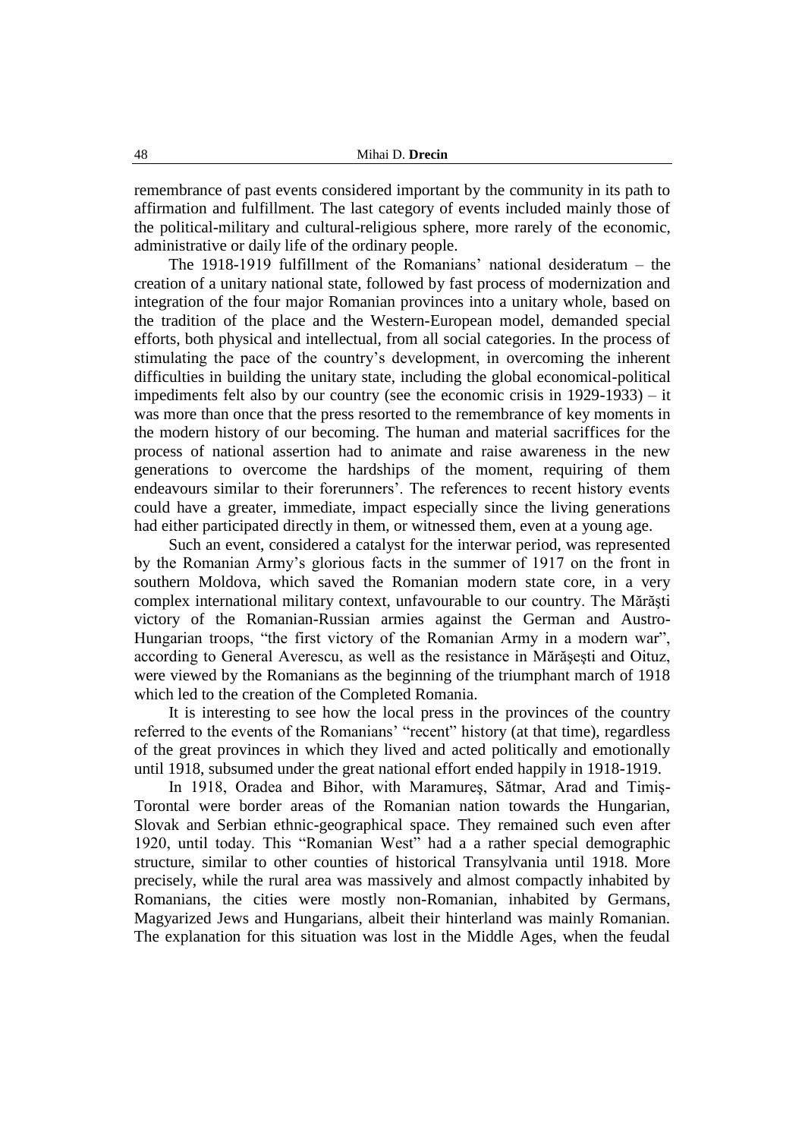remembrance of past events considered important by the community in its path to affirmation and fulfillment. The last category of events included mainly those of the political-military and cultural-religious sphere, more rarely of the economic, administrative or daily life of the ordinary people.

The 1918-1919 fulfillment of the Romanians' national desideratum – the creation of a unitary national state, followed by fast process of modernization and integration of the four major Romanian provinces into a unitary whole, based on the tradition of the place and the Western-European model, demanded special efforts, both physical and intellectual, from all social categories. In the process of stimulating the pace of the country's development, in overcoming the inherent difficulties in building the unitary state, including the global economical-political impediments felt also by our country (see the economic crisis in 1929-1933) – it was more than once that the press resorted to the remembrance of key moments in the modern history of our becoming. The human and material sacriffices for the process of national assertion had to animate and raise awareness in the new generations to overcome the hardships of the moment, requiring of them endeavours similar to their forerunners'. The references to recent history events could have a greater, immediate, impact especially since the living generations had either participated directly in them, or witnessed them, even at a young age.

Such an event, considered a catalyst for the interwar period, was represented by the Romanian Army's glorious facts in the summer of 1917 on the front in southern Moldova, which saved the Romanian modern state core, in a very complex international military context, unfavourable to our country. The Mărăşti victory of the Romanian-Russian armies against the German and Austro-Hungarian troops, "the first victory of the Romanian Army in a modern war", according to General Averescu, as well as the resistance in Mărăşeşti and Oituz, were viewed by the Romanians as the beginning of the triumphant march of 1918 which led to the creation of the Completed Romania.

It is interesting to see how the local press in the provinces of the country referred to the events of the Romanians' "recent" history (at that time), regardless of the great provinces in which they lived and acted politically and emotionally until 1918, subsumed under the great national effort ended happily in 1918-1919.

In 1918, Oradea and Bihor, with Maramureş, Sătmar, Arad and Timiş-Torontal were border areas of the Romanian nation towards the Hungarian, Slovak and Serbian ethnic-geographical space. They remained such even after 1920, until today. This "Romanian West" had a a rather special demographic structure, similar to other counties of historical Transylvania until 1918. More precisely, while the rural area was massively and almost compactly inhabited by Romanians, the cities were mostly non-Romanian, inhabited by Germans, Magyarized Jews and Hungarians, albeit their hinterland was mainly Romanian. The explanation for this situation was lost in the Middle Ages, when the feudal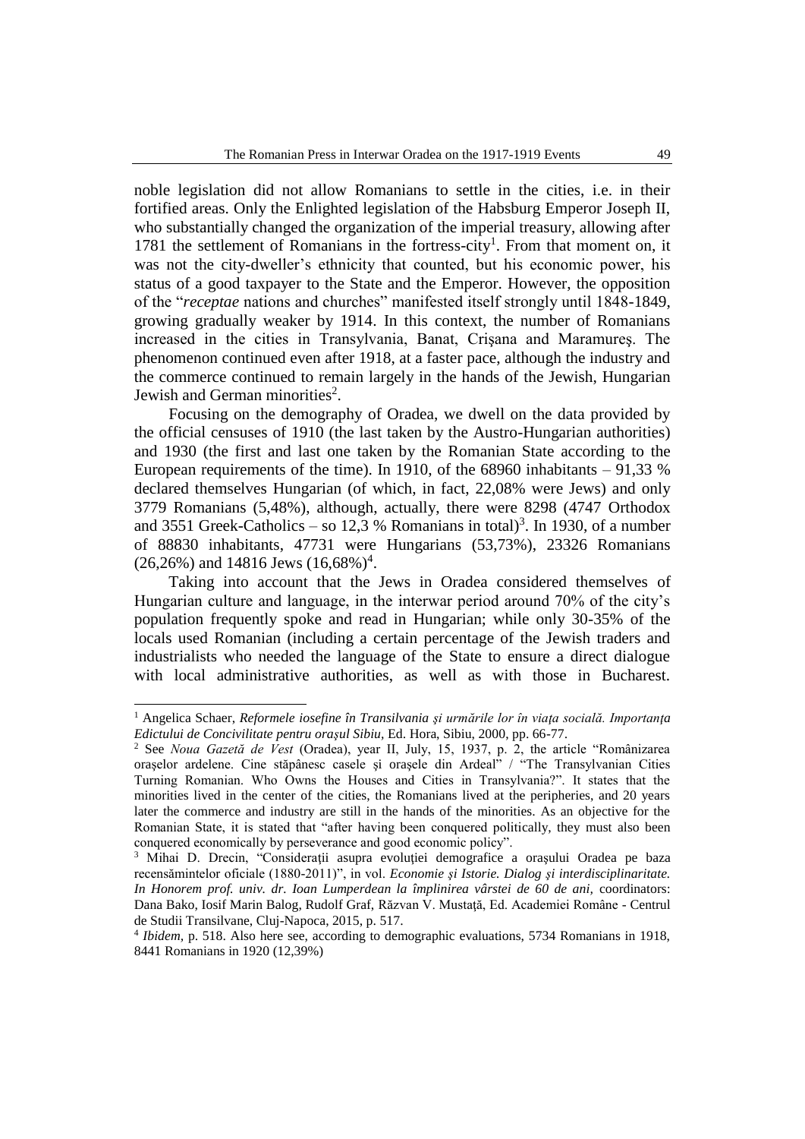noble legislation did not allow Romanians to settle in the cities, i.e. in their fortified areas. Only the Enlighted legislation of the Habsburg Emperor Joseph II, who substantially changed the organization of the imperial treasury, allowing after 1781 the settlement of Romanians in the fortress-city<sup>1</sup>. From that moment on, it was not the city-dweller's ethnicity that counted, but his economic power, his status of a good taxpayer to the State and the Emperor. However, the opposition of the "*receptae* nations and churches" manifested itself strongly until 1848-1849, growing gradually weaker by 1914. In this context, the number of Romanians increased in the cities in Transylvania, Banat, Crişana and Maramureş. The phenomenon continued even after 1918, at a faster pace, although the industry and the commerce continued to remain largely in the hands of the Jewish, Hungarian Jewish and German minorities<sup>2</sup>.

Focusing on the demography of Oradea, we dwell on the data provided by the official censuses of 1910 (the last taken by the Austro-Hungarian authorities) and 1930 (the first and last one taken by the Romanian State according to the European requirements of the time). In 1910, of the  $68960$  inhabitants  $-91,33$  % declared themselves Hungarian (of which, in fact, 22,08% were Jews) and only 3779 Romanians (5,48%), although, actually, there were 8298 (4747 Orthodox and 3551 Greek-Catholics – so 12,3 % Romanians in total)<sup>3</sup>. In 1930, of a number of 88830 inhabitants, 47731 were Hungarians (53,73%), 23326 Romanians  $(26,26\%)$  and 14816 Jews  $(16,68\%)^4$ .

Taking into account that the Jews in Oradea considered themselves of Hungarian culture and language, in the interwar period around 70% of the city's population frequently spoke and read in Hungarian; while only 30-35% of the locals used Romanian (including a certain percentage of the Jewish traders and industrialists who needed the language of the State to ensure a direct dialogue with local administrative authorities, as well as with those in Bucharest.

<sup>1</sup> Angelica Schaer, *Reformele iosefine în Transilvania şi urmările lor în viaţa socială. Importanţa Edictului de Concivilitate pentru oraşul Sibiu,* Ed. Hora, Sibiu, 2000, pp. 66-77.

<sup>2</sup> See *Noua Gazetă de Vest* (Oradea), year II, July, 15, 1937, p. 2, the article "Românizarea orașelor ardelene. Cine stăpânesc casele și orașele din Ardeal<sup>"</sup> / "The Transylvanian Cities Turning Romanian. Who Owns the Houses and Cities in Transylvania?". It states that the minorities lived in the center of the cities, the Romanians lived at the peripheries, and 20 years later the commerce and industry are still in the hands of the minorities. As an objective for the Romanian State, it is stated that "after having been conquered politically, they must also been conquered economically by perseverance and good economic policy".

<sup>&</sup>lt;sup>3</sup> Mihai D. Drecin, "Considerații asupra evoluției demografice a orașului Oradea pe baza recensămintelor oficiale (1880-2011)", in vol. *Economie şi Istorie. Dialog şi interdisciplinaritate. In Honorem prof. univ. dr. Ioan Lumperdean la împlinirea vârstei de 60 de ani,* coordinators: Dana Bako, Iosif Marin Balog, Rudolf Graf, Răzvan V. Mustaţă, Ed. Academiei Române - Centrul de Studii Transilvane, Cluj-Napoca, 2015, p. 517.

<sup>4</sup> *Ibidem,* p. 518. Also here see, according to demographic evaluations, 5734 Romanians in 1918, 8441 Romanians in 1920 (12,39%)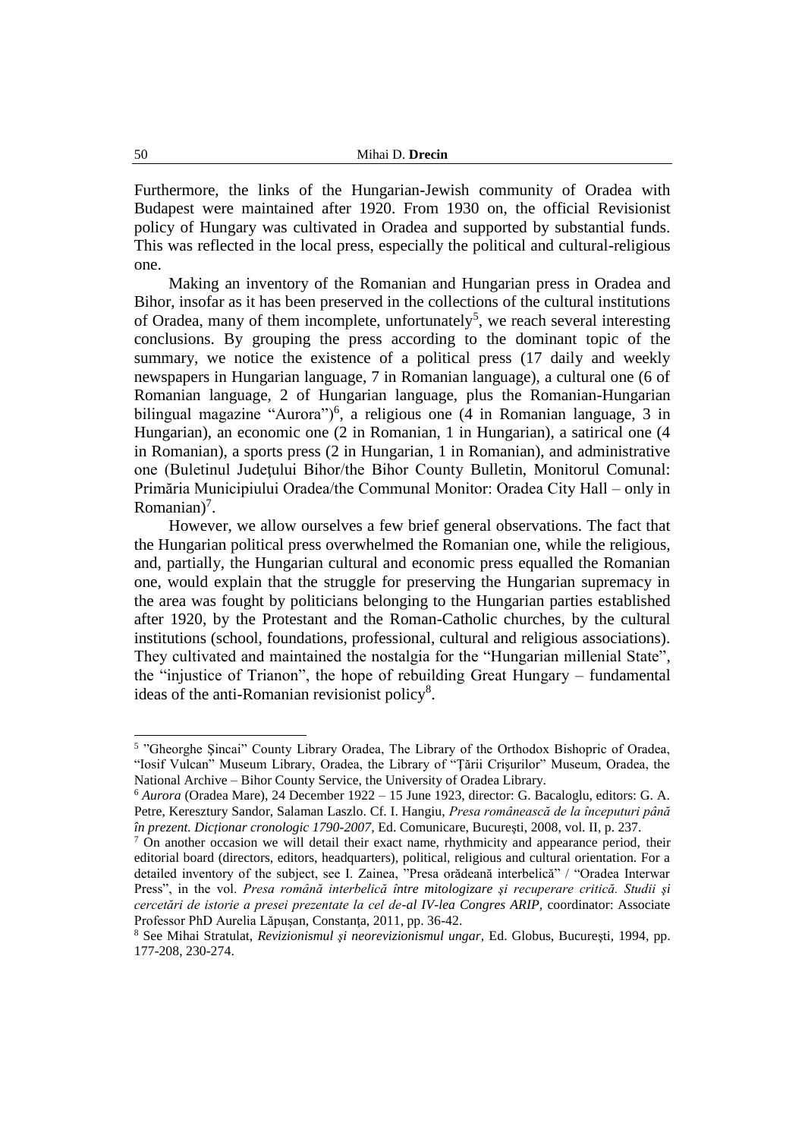Furthermore, the links of the Hungarian-Jewish community of Oradea with Budapest were maintained after 1920. From 1930 on, the official Revisionist policy of Hungary was cultivated in Oradea and supported by substantial funds. This was reflected in the local press, especially the political and cultural-religious one.

Making an inventory of the Romanian and Hungarian press in Oradea and Bihor, insofar as it has been preserved in the collections of the cultural institutions of Oradea, many of them incomplete, unfortunately<sup>5</sup>, we reach several interesting conclusions. By grouping the press according to the dominant topic of the summary, we notice the existence of a political press (17 daily and weekly newspapers in Hungarian language, 7 in Romanian language), a cultural one (6 of Romanian language, 2 of Hungarian language, plus the Romanian-Hungarian bilingual magazine "Aurora")<sup>6</sup>, a religious one (4 in Romanian language, 3 in Hungarian), an economic one (2 in Romanian, 1 in Hungarian), a satirical one (4 in Romanian), a sports press (2 in Hungarian, 1 in Romanian), and administrative one (Buletinul Judeţului Bihor/the Bihor County Bulletin, Monitorul Comunal: Primăria Municipiului Oradea/the Communal Monitor: Oradea City Hall – only in Romanian $)^7$ .

However, we allow ourselves a few brief general observations. The fact that the Hungarian political press overwhelmed the Romanian one, while the religious, and, partially, the Hungarian cultural and economic press equalled the Romanian one, would explain that the struggle for preserving the Hungarian supremacy in the area was fought by politicians belonging to the Hungarian parties established after 1920, by the Protestant and the Roman-Catholic churches, by the cultural institutions (school, foundations, professional, cultural and religious associations). They cultivated and maintained the nostalgia for the "Hungarian millenial State", the "injustice of Trianon", the hope of rebuilding Great Hungary – fundamental ideas of the anti-Romanian revisionist policy<sup>8</sup>.

<sup>5</sup> "Gheorghe Şincai" County Library Oradea, The Library of the Orthodox Bishopric of Oradea, "Iosif Vulcan" Museum Library, Oradea, the Library of "Ţării Crişurilor" Museum, Oradea, the National Archive – Bihor County Service, the University of Oradea Library.

<sup>6</sup> *Aurora* (Oradea Mare), 24 December 1922 – 15 June 1923, director: G. Bacaloglu, editors: G. A. Petre, Keresztury Sandor, Salaman Laszlo. Cf. I. Hangiu, *Presa românească de la începuturi până în prezent. Dicţionar cronologic 1790-2007,* Ed. Comunicare, Bucureşti, 2008, vol. II, p. 237.

<sup>&</sup>lt;sup>7</sup> On another occasion we will detail their exact name, rhythmicity and appearance period, their editorial board (directors, editors, headquarters), political, religious and cultural orientation. For a detailed inventory of the subject, see I. Zainea, "Presa orădeană interbelică" / "Oradea Interwar Press", in the vol. *Presa română interbelică între mitologizare şi recuperare critică. Studii şi cercetări de istorie a presei prezentate la cel de-al IV-lea Congres ARIP,* coordinator: Associate Professor PhD Aurelia Lăpuşan, Constanţa, 2011, pp. 36-42.

<sup>8</sup> See Mihai Stratulat, *Revizionismul şi neorevizionismul ungar,* Ed. Globus, Bucureşti, 1994, pp. 177-208, 230-274.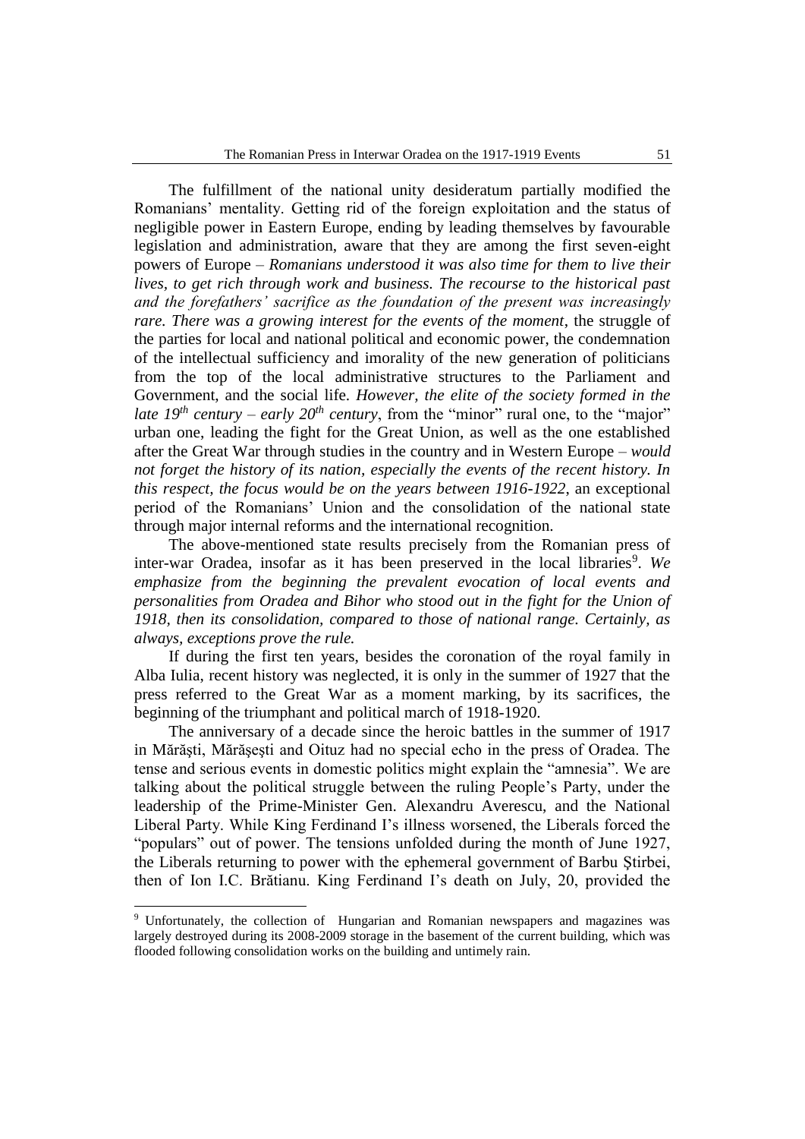The fulfillment of the national unity desideratum partially modified the Romanians' mentality. Getting rid of the foreign exploitation and the status of negligible power in Eastern Europe, ending by leading themselves by favourable legislation and administration, aware that they are among the first seven-eight powers of Europe – *Romanians understood it was also time for them to live their lives, to get rich through work and business. The recourse to the historical past and the forefathers' sacrifice as the foundation of the present was increasingly rare. There was a growing interest for the events of the moment*, the struggle of the parties for local and national political and economic power, the condemnation of the intellectual sufficiency and imorality of the new generation of politicians from the top of the local administrative structures to the Parliament and Government, and the social life. *However, the elite of the society formed in the late 19<sup>th</sup> century – early 20<sup>th</sup> <i>century*, from the "minor" rural one, to the "major" urban one, leading the fight for the Great Union, as well as the one established after the Great War through studies in the country and in Western Europe – *would not forget the history of its nation, especially the events of the recent history. In this respect, the focus would be on the years between 1916-1922*, an exceptional period of the Romanians' Union and the consolidation of the national state through major internal reforms and the international recognition.

The above-mentioned state results precisely from the Romanian press of inter-war Oradea, insofar as it has been preserved in the local libraries<sup>9</sup>. We *emphasize from the beginning the prevalent evocation of local events and personalities from Oradea and Bihor who stood out in the fight for the Union of 1918, then its consolidation, compared to those of national range. Certainly, as always, exceptions prove the rule.*

If during the first ten years, besides the coronation of the royal family in Alba Iulia, recent history was neglected, it is only in the summer of 1927 that the press referred to the Great War as a moment marking, by its sacrifices, the beginning of the triumphant and political march of 1918-1920.

The anniversary of a decade since the heroic battles in the summer of 1917 in Mărăşti, Mărăşeşti and Oituz had no special echo in the press of Oradea. The tense and serious events in domestic politics might explain the "amnesia". We are talking about the political struggle between the ruling People's Party, under the leadership of the Prime-Minister Gen. Alexandru Averescu, and the National Liberal Party. While King Ferdinand I's illness worsened, the Liberals forced the "populars" out of power. The tensions unfolded during the month of June 1927, the Liberals returning to power with the ephemeral government of Barbu Ştirbei, then of Ion I.C. Brătianu. King Ferdinand I's death on July, 20, provided the

<sup>&</sup>lt;sup>9</sup> Unfortunately, the collection of Hungarian and Romanian newspapers and magazines was largely destroyed during its 2008-2009 storage in the basement of the current building, which was flooded following consolidation works on the building and untimely rain.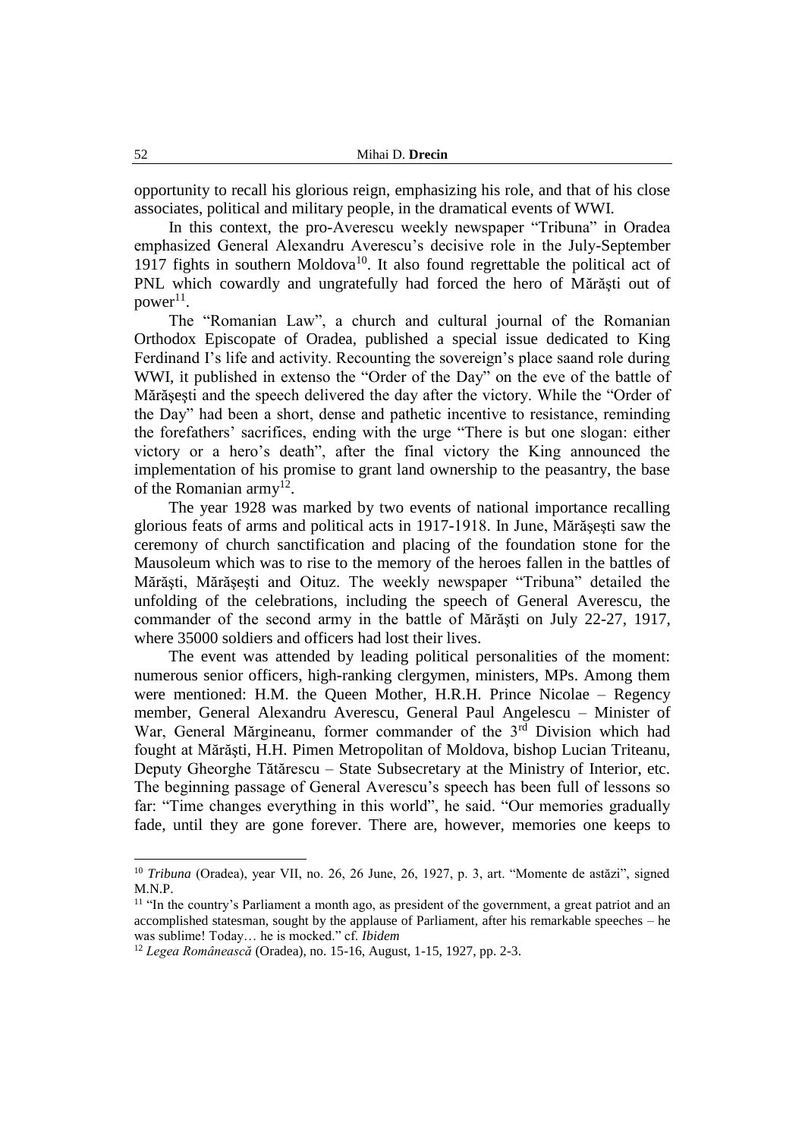opportunity to recall his glorious reign, emphasizing his role, and that of his close associates, political and military people, in the dramatical events of WWI.

In this context, the pro-Averescu weekly newspaper "Tribuna" in Oradea emphasized General Alexandru Averescu's decisive role in the July-September 1917 fights in southern Moldova<sup>10</sup>. It also found regrettable the political act of PNL which cowardly and ungratefully had forced the hero of Mărăşti out of  $power^{11}$ .

The "Romanian Law", a church and cultural journal of the Romanian Orthodox Episcopate of Oradea, published a special issue dedicated to King Ferdinand I's life and activity. Recounting the sovereign's place saand role during WWI, it published in extenso the "Order of the Day" on the eve of the battle of Mărăşeşti and the speech delivered the day after the victory. While the "Order of the Day" had been a short, dense and pathetic incentive to resistance, reminding the forefathers' sacrifices, ending with the urge "There is but one slogan: either victory or a hero's death", after the final victory the King announced the implementation of his promise to grant land ownership to the peasantry, the base of the Romanian army<sup>12</sup>.

The year 1928 was marked by two events of national importance recalling glorious feats of arms and political acts in 1917-1918. In June, Mărăşeşti saw the ceremony of church sanctification and placing of the foundation stone for the Mausoleum which was to rise to the memory of the heroes fallen in the battles of Mărăşti, Mărăşeşti and Oituz. The weekly newspaper "Tribuna" detailed the unfolding of the celebrations, including the speech of General Averescu, the commander of the second army in the battle of Mărăşti on July 22-27, 1917, where 35000 soldiers and officers had lost their lives.

The event was attended by leading political personalities of the moment: numerous senior officers, high-ranking clergymen, ministers, MPs. Among them were mentioned: H.M. the Queen Mother, H.R.H. Prince Nicolae – Regency member, General Alexandru Averescu, General Paul Angelescu – Minister of War, General Mărgineanu, former commander of the  $3<sup>rd</sup>$  Division which had fought at Mărăşti, H.H. Pimen Metropolitan of Moldova, bishop Lucian Triteanu, Deputy Gheorghe Tătărescu – State Subsecretary at the Ministry of Interior, etc. The beginning passage of General Averescu's speech has been full of lessons so far: "Time changes everything in this world", he said. "Our memories gradually fade, until they are gone forever. There are, however, memories one keeps to

<sup>&</sup>lt;sup>10</sup> *Tribuna* (Oradea), year VII, no. 26, 26 June, 26, 1927, p. 3, art. "Momente de astăzi", signed M.N.P.

<sup>&</sup>lt;sup>11</sup> "In the country's Parliament a month ago, as president of the government, a great patriot and an accomplished statesman, sought by the applause of Parliament, after his remarkable speeches – he was sublime! Today… he is mocked." cf. *Ibidem*

<sup>12</sup> *Legea Românească* (Oradea), no. 15-16, August, 1-15, 1927, pp. 2-3.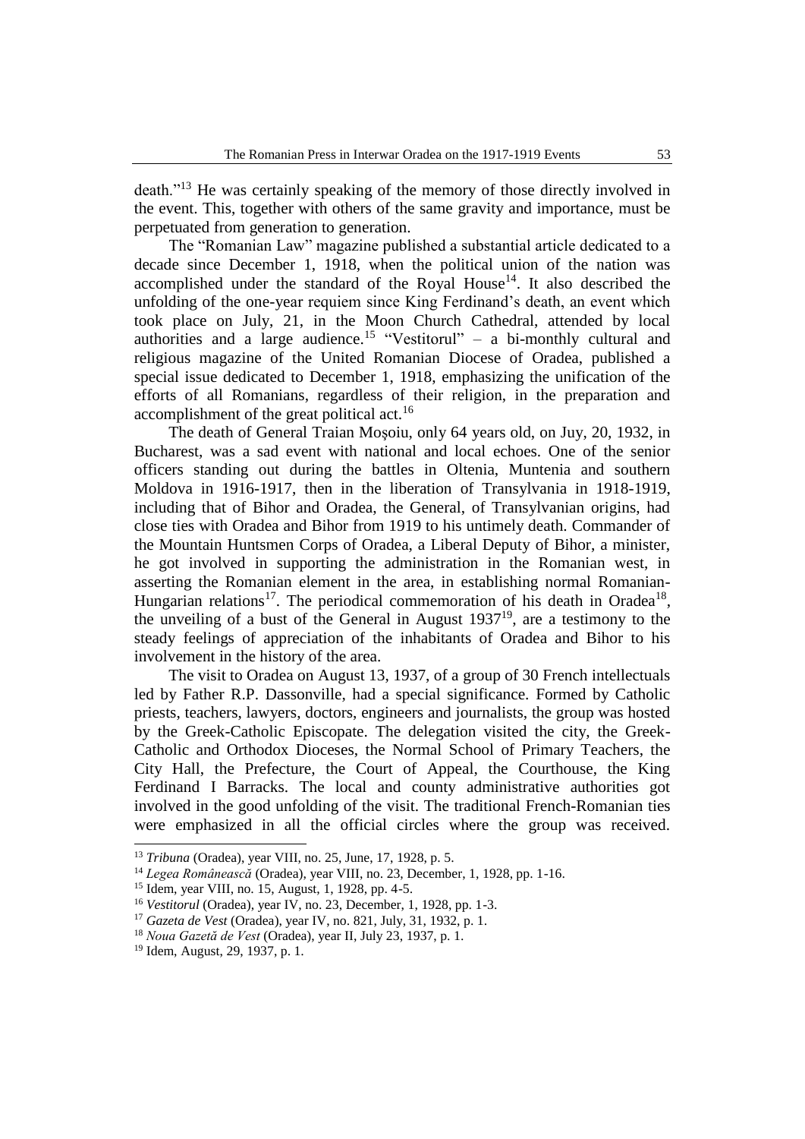death."<sup>13</sup> He was certainly speaking of the memory of those directly involved in the event. This, together with others of the same gravity and importance, must be perpetuated from generation to generation.

The "Romanian Law" magazine published a substantial article dedicated to a decade since December 1, 1918, when the political union of the nation was accomplished under the standard of the Royal House<sup>14</sup>. It also described the unfolding of the one-year requiem since King Ferdinand's death, an event which took place on July, 21, in the Moon Church Cathedral, attended by local authorities and a large audience.<sup>15</sup> "Vestitorul" – a bi-monthly cultural and religious magazine of the United Romanian Diocese of Oradea, published a special issue dedicated to December 1, 1918, emphasizing the unification of the efforts of all Romanians, regardless of their religion, in the preparation and accomplishment of the great political act.<sup>16</sup>

The death of General Traian Moşoiu, only 64 years old, on Juy, 20, 1932, in Bucharest, was a sad event with national and local echoes. One of the senior officers standing out during the battles in Oltenia, Muntenia and southern Moldova in 1916-1917, then in the liberation of Transylvania in 1918-1919, including that of Bihor and Oradea, the General, of Transylvanian origins, had close ties with Oradea and Bihor from 1919 to his untimely death. Commander of the Mountain Huntsmen Corps of Oradea, a Liberal Deputy of Bihor, a minister, he got involved in supporting the administration in the Romanian west, in asserting the Romanian element in the area, in establishing normal Romanian-Hungarian relations<sup>17</sup>. The periodical commemoration of his death in Oradea<sup>18</sup>, the unveiling of a bust of the General in August 1937<sup>19</sup>, are a testimony to the steady feelings of appreciation of the inhabitants of Oradea and Bihor to his involvement in the history of the area.

The visit to Oradea on August 13, 1937, of a group of 30 French intellectuals led by Father R.P. Dassonville, had a special significance. Formed by Catholic priests, teachers, lawyers, doctors, engineers and journalists, the group was hosted by the Greek-Catholic Episcopate. The delegation visited the city, the Greek-Catholic and Orthodox Dioceses, the Normal School of Primary Teachers, the City Hall, the Prefecture, the Court of Appeal, the Courthouse, the King Ferdinand I Barracks. The local and county administrative authorities got involved in the good unfolding of the visit. The traditional French-Romanian ties were emphasized in all the official circles where the group was received.

<sup>13</sup> *Tribuna* (Oradea), year VIII, no. 25, June, 17, 1928, p. 5.

<sup>14</sup> *Legea Românească* (Oradea), year VIII, no. 23, December, 1, 1928, pp. 1-16.

<sup>15</sup> Idem, year VIII, no. 15, August, 1, 1928, pp. 4-5.

<sup>&</sup>lt;sup>16</sup> *Vestitorul* (Oradea), year IV, no. 23, December, 1, 1928, pp. 1-3.

<sup>17</sup> *Gazeta de Vest* (Oradea), year IV, no. 821, July, 31, 1932, p. 1.

<sup>18</sup> *Noua Gazetă de Vest* (Oradea), year II, July 23, 1937, p. 1.

<sup>19</sup> Idem, August, 29, 1937, p. 1.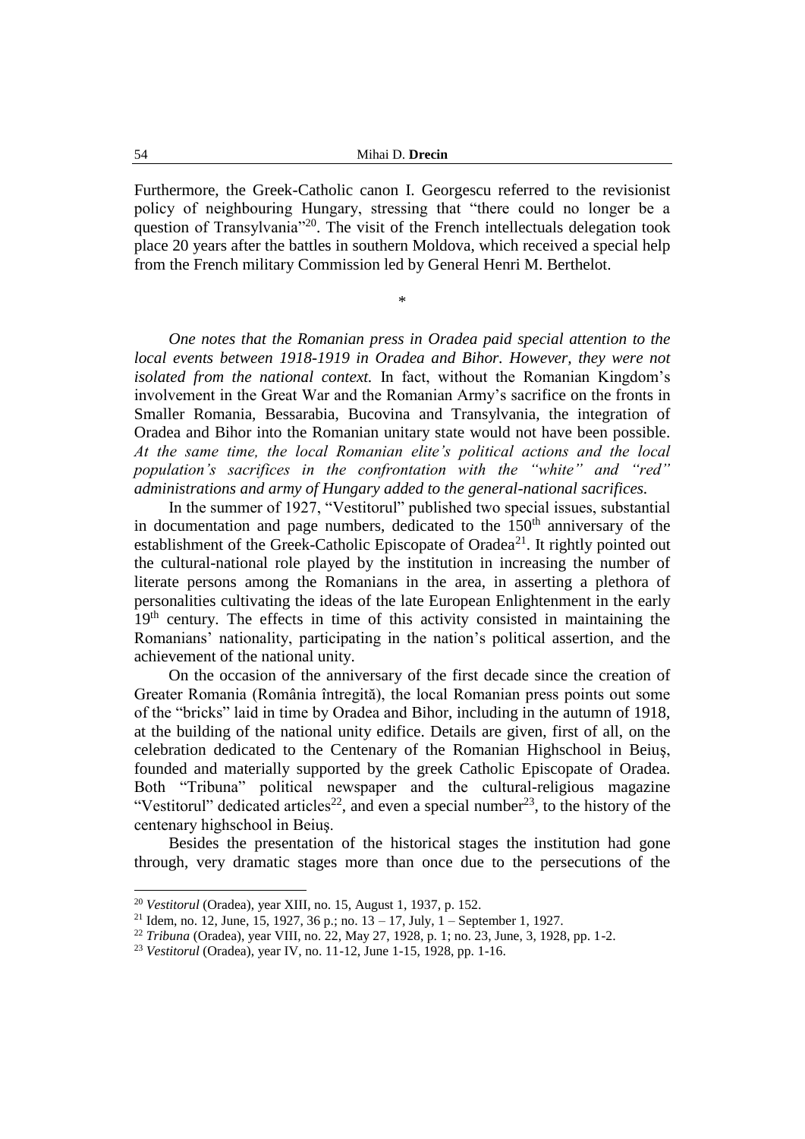Furthermore, the Greek-Catholic canon I. Georgescu referred to the revisionist policy of neighbouring Hungary, stressing that "there could no longer be a question of Transylvania"<sup>20</sup>. The visit of the French intellectuals delegation took place 20 years after the battles in southern Moldova, which received a special help from the French military Commission led by General Henri M. Berthelot.

\*

*One notes that the Romanian press in Oradea paid special attention to the local events between 1918-1919 in Oradea and Bihor. However, they were not isolated from the national context.* In fact, without the Romanian Kingdom's involvement in the Great War and the Romanian Army's sacrifice on the fronts in Smaller Romania, Bessarabia, Bucovina and Transylvania, the integration of Oradea and Bihor into the Romanian unitary state would not have been possible. *At the same time, the local Romanian elite's political actions and the local population's sacrifices in the confrontation with the "white" and "red" administrations and army of Hungary added to the general-national sacrifices.*

In the summer of 1927, "Vestitorul" published two special issues, substantial in documentation and page numbers, dedicated to the  $150<sup>th</sup>$  anniversary of the establishment of the Greek-Catholic Episcopate of Oradea<sup>21</sup>. It rightly pointed out the cultural-national role played by the institution in increasing the number of literate persons among the Romanians in the area, in asserting a plethora of personalities cultivating the ideas of the late European Enlightenment in the early 19<sup>th</sup> century. The effects in time of this activity consisted in maintaining the Romanians' nationality, participating in the nation's political assertion, and the achievement of the national unity.

On the occasion of the anniversary of the first decade since the creation of Greater Romania (România întregită), the local Romanian press points out some of the "bricks" laid in time by Oradea and Bihor, including in the autumn of 1918, at the building of the national unity edifice. Details are given, first of all, on the celebration dedicated to the Centenary of the Romanian Highschool in Beiuş, founded and materially supported by the greek Catholic Episcopate of Oradea. Both "Tribuna" political newspaper and the cultural-religious magazine "Vestitorul" dedicated articles<sup>22</sup>, and even a special number<sup>23</sup>, to the history of the centenary highschool in Beiuş.

Besides the presentation of the historical stages the institution had gone through, very dramatic stages more than once due to the persecutions of the

<sup>20</sup> *Vestitorul* (Oradea), year XIII, no. 15, August 1, 1937, p. 152.

<sup>&</sup>lt;sup>21</sup> Idem, no. 12, June, 15, 1927, 36 p.; no.  $13 - 17$ , July, 1 – September 1, 1927.

<sup>22</sup> *Tribuna* (Oradea), year VIII, no. 22, May 27, 1928, p. 1; no. 23, June, 3, 1928, pp. 1-2.

<sup>23</sup> *Vestitorul* (Oradea), year IV, no. 11-12, June 1-15, 1928, pp. 1-16.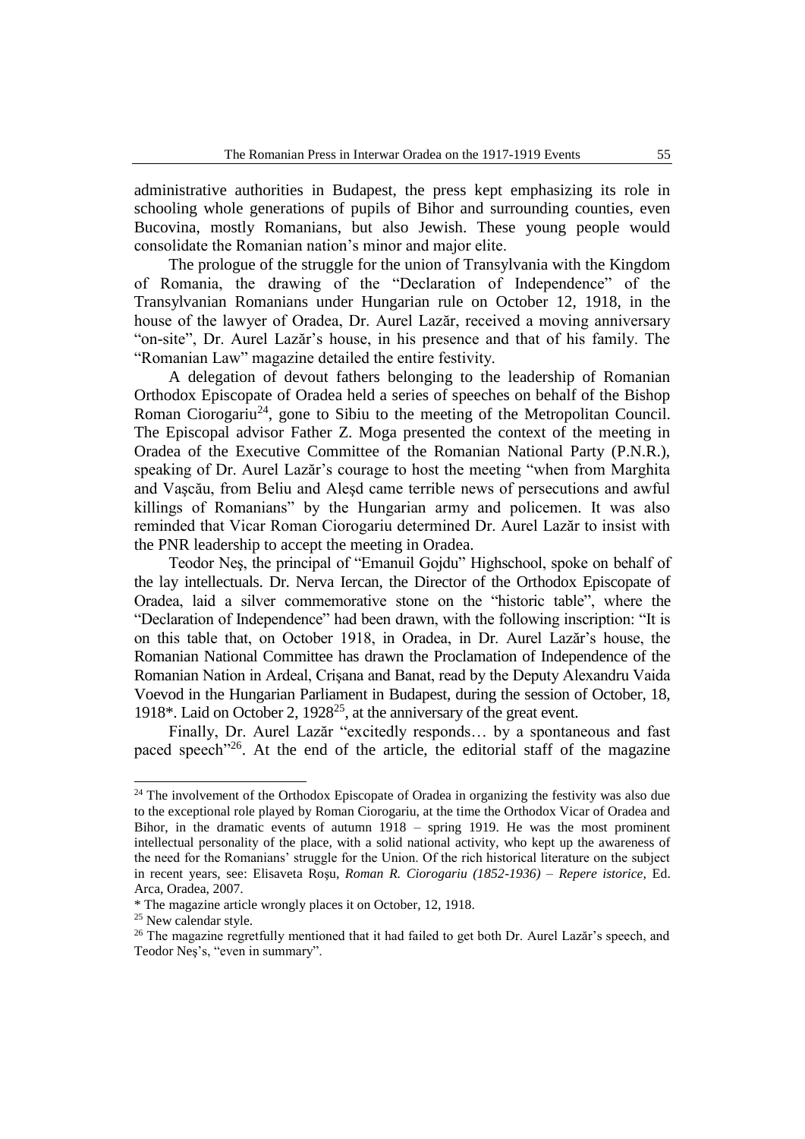administrative authorities in Budapest, the press kept emphasizing its role in schooling whole generations of pupils of Bihor and surrounding counties, even Bucovina, mostly Romanians, but also Jewish. These young people would consolidate the Romanian nation's minor and major elite.

The prologue of the struggle for the union of Transylvania with the Kingdom of Romania, the drawing of the "Declaration of Independence" of the Transylvanian Romanians under Hungarian rule on October 12, 1918, in the house of the lawyer of Oradea, Dr. Aurel Lazăr, received a moving anniversary "on-site", Dr. Aurel Lazăr's house, in his presence and that of his family. The "Romanian Law" magazine detailed the entire festivity.

A delegation of devout fathers belonging to the leadership of Romanian Orthodox Episcopate of Oradea held a series of speeches on behalf of the Bishop Roman Ciorogariu<sup>24</sup>, gone to Sibiu to the meeting of the Metropolitan Council. The Episcopal advisor Father Z. Moga presented the context of the meeting in Oradea of the Executive Committee of the Romanian National Party (P.N.R.), speaking of Dr. Aurel Lazăr's courage to host the meeting "when from Marghita and Vaşcău, from Beliu and Aleşd came terrible news of persecutions and awful killings of Romanians" by the Hungarian army and policemen. It was also reminded that Vicar Roman Ciorogariu determined Dr. Aurel Lazăr to insist with the PNR leadership to accept the meeting in Oradea.

Teodor Neş, the principal of "Emanuil Gojdu" Highschool, spoke on behalf of the lay intellectuals. Dr. Nerva Iercan, the Director of the Orthodox Episcopate of Oradea, laid a silver commemorative stone on the "historic table", where the "Declaration of Independence" had been drawn, with the following inscription: "It is on this table that, on October 1918, in Oradea, in Dr. Aurel Lazăr's house, the Romanian National Committee has drawn the Proclamation of Independence of the Romanian Nation in Ardeal, Crişana and Banat, read by the Deputy Alexandru Vaida Voevod in the Hungarian Parliament in Budapest, during the session of October, 18, 1918\*. Laid on October 2, 1928<sup>25</sup>, at the anniversary of the great event.

Finally, Dr. Aurel Lazăr "excitedly responds… by a spontaneous and fast paced speech<sup>"26</sup>. At the end of the article, the editorial staff of the magazine

 $24$  The involvement of the Orthodox Episcopate of Oradea in organizing the festivity was also due to the exceptional role played by Roman Ciorogariu, at the time the Orthodox Vicar of Oradea and Bihor, in the dramatic events of autumn 1918 – spring 1919. He was the most prominent intellectual personality of the place, with a solid national activity, who kept up the awareness of the need for the Romanians' struggle for the Union. Of the rich historical literature on the subject in recent years, see: Elisaveta Roşu, *Roman R. Ciorogariu (1852-1936) – Repere istorice,* Ed. Arca, Oradea, 2007.

<sup>\*</sup> The magazine article wrongly places it on October, 12, 1918.

<sup>&</sup>lt;sup>25</sup> New calendar style.

<sup>&</sup>lt;sup>26</sup> The magazine regretfully mentioned that it had failed to get both Dr. Aurel Lazăr's speech, and Teodor Neş's, "even in summary".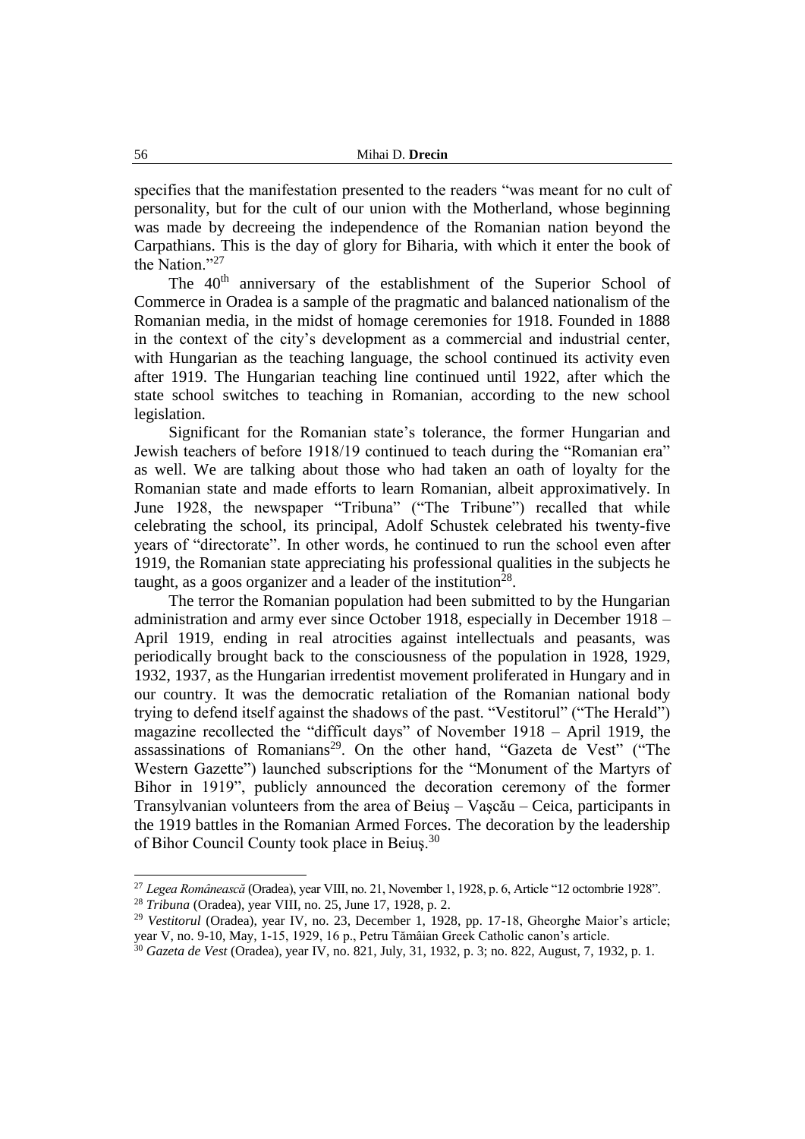specifies that the manifestation presented to the readers "was meant for no cult of personality, but for the cult of our union with the Motherland, whose beginning was made by decreeing the independence of the Romanian nation beyond the Carpathians. This is the day of glory for Biharia, with which it enter the book of the Nation."<sup>27</sup>

The 40<sup>th</sup> anniversary of the establishment of the Superior School of Commerce in Oradea is a sample of the pragmatic and balanced nationalism of the Romanian media, in the midst of homage ceremonies for 1918. Founded in 1888 in the context of the city's development as a commercial and industrial center, with Hungarian as the teaching language, the school continued its activity even after 1919. The Hungarian teaching line continued until 1922, after which the state school switches to teaching in Romanian, according to the new school legislation.

Significant for the Romanian state's tolerance, the former Hungarian and Jewish teachers of before 1918/19 continued to teach during the "Romanian era" as well. We are talking about those who had taken an oath of loyalty for the Romanian state and made efforts to learn Romanian, albeit approximatively. In June 1928, the newspaper "Tribuna" ("The Tribune") recalled that while celebrating the school, its principal, Adolf Schustek celebrated his twenty-five years of "directorate". In other words, he continued to run the school even after 1919, the Romanian state appreciating his professional qualities in the subjects he taught, as a goos organizer and a leader of the institution<sup>28</sup>.

The terror the Romanian population had been submitted to by the Hungarian administration and army ever since October 1918, especially in December 1918 – April 1919, ending in real atrocities against intellectuals and peasants, was periodically brought back to the consciousness of the population in 1928, 1929, 1932, 1937, as the Hungarian irredentist movement proliferated in Hungary and in our country. It was the democratic retaliation of the Romanian national body trying to defend itself against the shadows of the past. "Vestitorul" ("The Herald") magazine recollected the "difficult days" of November 1918 – April 1919, the assassinations of Romanians<sup>29</sup>. On the other hand, "Gazeta de Vest" ("The Western Gazette") launched subscriptions for the "Monument of the Martyrs of Bihor in 1919", publicly announced the decoration ceremony of the former Transylvanian volunteers from the area of Beiuş – Vaşcău – Ceica, participants in the 1919 battles in the Romanian Armed Forces. The decoration by the leadership of Bihor Council County took place in Beiuş.<sup>30</sup>

<sup>27</sup> *Legea Românească* (Oradea), year VIII, no. 21, November 1, 1928, p. 6, Article "12 octombrie 1928".

<sup>28</sup> *Tribuna* (Oradea), year VIII, no. 25, June 17, 1928, p. 2.

<sup>&</sup>lt;sup>29</sup> Vestitorul (Oradea), year IV, no. 23, December 1, 1928, pp. 17-18, Gheorghe Maior's article; year V, no. 9-10, May, 1-15, 1929, 16 p., Petru Tămâian Greek Catholic canon's article.

<sup>30</sup> *Gazeta de Vest* (Oradea), year IV, no. 821, July, 31, 1932, p. 3; no. 822, August, 7, 1932, p. 1.